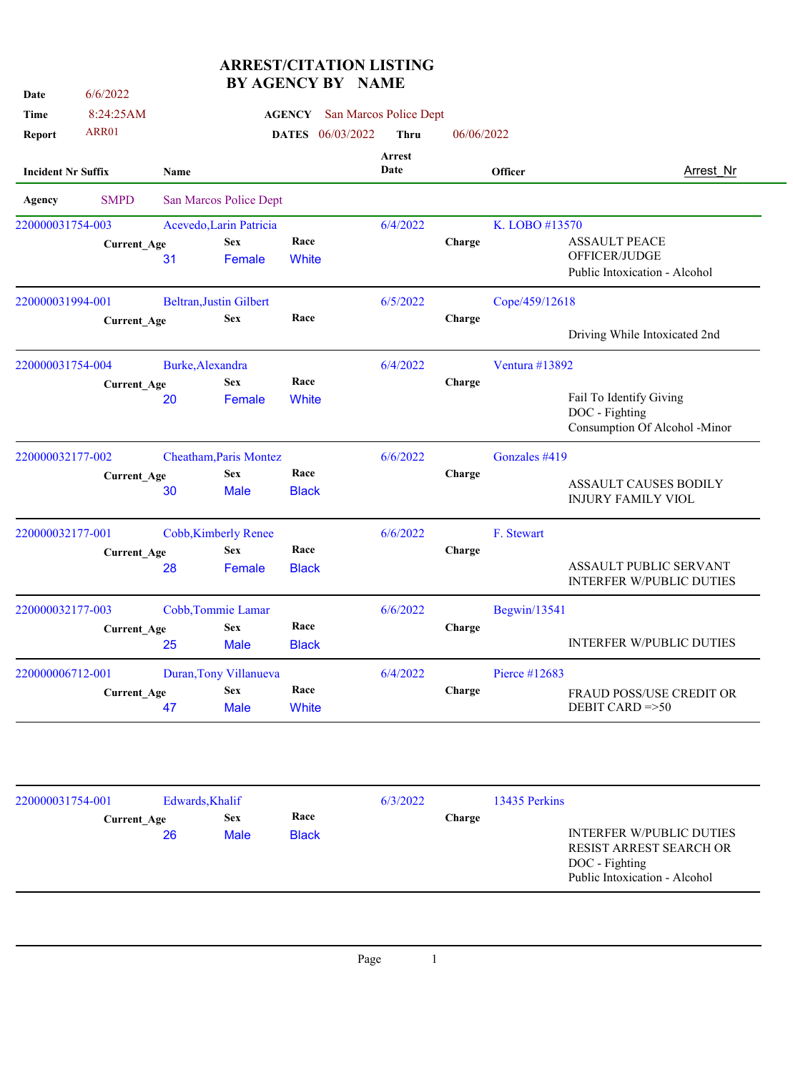| Date                      | 6/6/2022           |                                | AULIIVI DI                    |                            |                        |            |                |                                                                                                               |  |
|---------------------------|--------------------|--------------------------------|-------------------------------|----------------------------|------------------------|------------|----------------|---------------------------------------------------------------------------------------------------------------|--|
| Time                      | 8:24:25AM          |                                |                               | <b>AGENCY</b>              | San Marcos Police Dept |            |                |                                                                                                               |  |
| Report                    | ARR01              |                                |                               | 06/03/2022<br><b>DATES</b> | Thru                   | 06/06/2022 |                |                                                                                                               |  |
| <b>Incident Nr Suffix</b> |                    | <b>Name</b>                    |                               |                            | Arrest<br>Date         |            | <b>Officer</b> | <b>Arrest Nr</b>                                                                                              |  |
| Agency                    | <b>SMPD</b>        |                                | San Marcos Police Dept        |                            |                        |            |                |                                                                                                               |  |
| 220000031754-003          |                    | Acevedo, Larin Patricia        |                               |                            | 6/4/2022               |            | K. LOBO #13570 |                                                                                                               |  |
|                           | <b>Current_Age</b> |                                | <b>Sex</b>                    | Race                       |                        | Charge     |                | <b>ASSAULT PEACE</b>                                                                                          |  |
|                           |                    | 31                             | Female                        | White                      |                        |            |                | OFFICER/JUDGE                                                                                                 |  |
|                           |                    |                                |                               |                            |                        |            |                | Public Intoxication - Alcohol                                                                                 |  |
| 220000031994-001          |                    | <b>Beltran, Justin Gilbert</b> |                               |                            | 6/5/2022               |            | Cope/459/12618 |                                                                                                               |  |
|                           | <b>Current_Age</b> |                                | <b>Sex</b>                    | Race                       |                        | Charge     |                |                                                                                                               |  |
|                           |                    |                                |                               |                            |                        |            |                | Driving While Intoxicated 2nd                                                                                 |  |
| 220000031754-004          |                    | Burke, Alexandra               |                               |                            | 6/4/2022               |            | Ventura #13892 |                                                                                                               |  |
|                           | <b>Current_Age</b> |                                | <b>Sex</b>                    | Race                       |                        | Charge     |                |                                                                                                               |  |
|                           |                    | 20                             | Female                        | White                      |                        |            |                | Fail To Identify Giving                                                                                       |  |
|                           |                    |                                |                               |                            |                        |            |                | DOC - Fighting                                                                                                |  |
|                           |                    |                                |                               |                            |                        |            |                | Consumption Of Alcohol -Minor                                                                                 |  |
| 220000032177-002          |                    |                                | <b>Cheatham, Paris Montez</b> |                            | 6/6/2022               |            | Gonzales #419  |                                                                                                               |  |
|                           | <b>Current_Age</b> |                                | <b>Sex</b>                    | Race                       |                        | Charge     |                | <b>ASSAULT CAUSES BODILY</b>                                                                                  |  |
|                           |                    | 30                             | <b>Male</b>                   | <b>Black</b>               |                        |            |                | <b>INJURY FAMILY VIOL</b>                                                                                     |  |
| 220000032177-001          |                    | <b>Cobb, Kimberly Renee</b>    |                               |                            | 6/6/2022               |            | F. Stewart     |                                                                                                               |  |
|                           | <b>Current_Age</b> |                                | <b>Sex</b>                    | Race                       |                        | Charge     |                |                                                                                                               |  |
|                           |                    | 28                             | Female                        | <b>Black</b>               |                        |            |                | ASSAULT PUBLIC SERVANT<br><b>INTERFER W/PUBLIC DUTIES</b>                                                     |  |
| 220000032177-003          |                    | Cobb, Tommie Lamar             |                               |                            | 6/6/2022               |            | Begwin/13541   |                                                                                                               |  |
|                           | <b>Current_Age</b> |                                | <b>Sex</b>                    | Race                       |                        | Charge     |                |                                                                                                               |  |
|                           |                    | 25                             | <b>Male</b>                   | <b>Black</b>               |                        |            |                | <b>INTERFER W/PUBLIC DUTIES</b>                                                                               |  |
| 220000006712-001          |                    |                                | Duran, Tony Villanueva        |                            | 6/4/2022               |            | Pierce #12683  |                                                                                                               |  |
|                           | <b>Current_Age</b> |                                | <b>Sex</b>                    | Race                       |                        | Charge     |                | FRAUD POSS/USE CREDIT OR                                                                                      |  |
|                           |                    | 47                             | <b>Male</b>                   | White                      |                        |            |                | DEBIT CARD $=>50$                                                                                             |  |
|                           |                    |                                |                               |                            |                        |            |                |                                                                                                               |  |
| 220000031754-001          |                    | Edwards, Khalif                |                               |                            | 6/3/2022               |            | 13435 Perkins  |                                                                                                               |  |
|                           | <b>Current_Age</b> |                                | <b>Sex</b>                    | Race                       |                        | Charge     |                |                                                                                                               |  |
|                           |                    | 26                             | <b>Male</b>                   | <b>Black</b>               |                        |            |                | <b>INTERFER W/PUBLIC DUTIES</b><br>RESIST ARREST SEARCH OR<br>DOC - Fighting<br>Public Intoxication - Alcohol |  |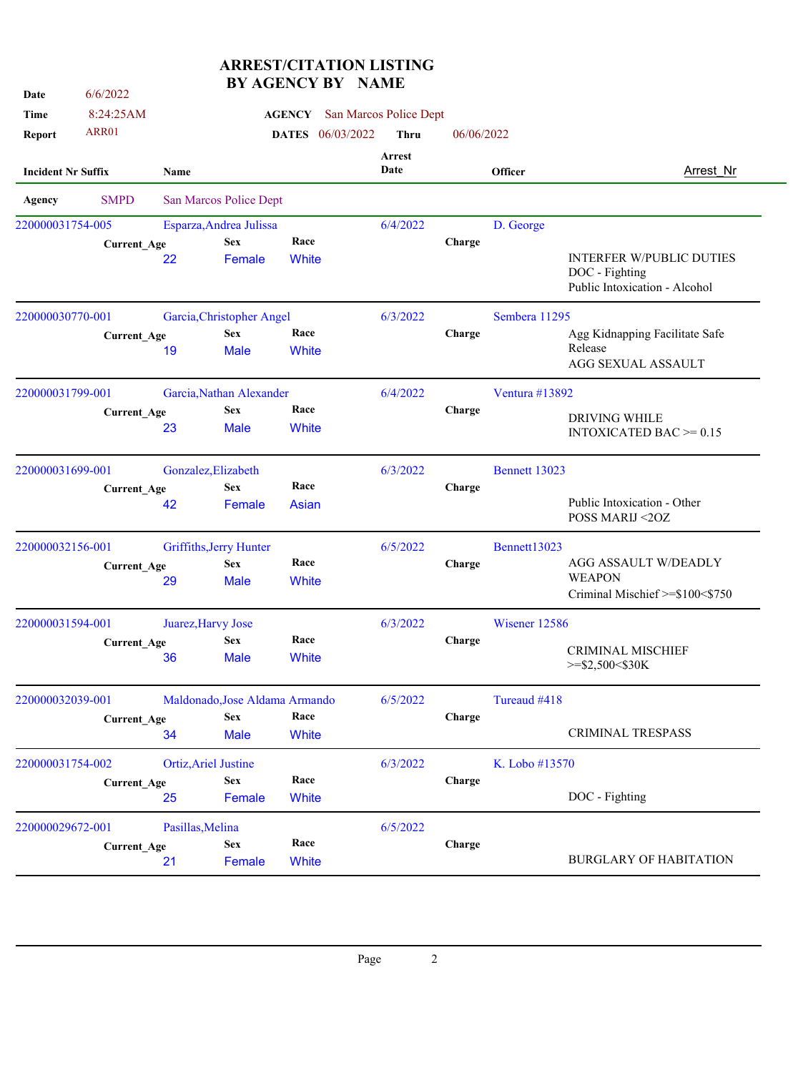| Date                      | 6/6/2022           |                             |                                | OLIVI DI             |                       |                        |            |                |                                                                                    |
|---------------------------|--------------------|-----------------------------|--------------------------------|----------------------|-----------------------|------------------------|------------|----------------|------------------------------------------------------------------------------------|
| Time                      | 8:24:25AM          |                             |                                | <b>AGENCY</b>        |                       | San Marcos Police Dept |            |                |                                                                                    |
| Report                    | ARR01              |                             |                                | <b>DATES</b>         | 06/03/2022            | <b>Thru</b>            | 06/06/2022 |                |                                                                                    |
| <b>Incident Nr Suffix</b> |                    | Name                        |                                |                      | <b>Arrest</b><br>Date |                        | Officer    |                | <b>Arrest Nr</b>                                                                   |
| Agency                    | <b>SMPD</b>        |                             | San Marcos Police Dept         |                      |                       |                        |            |                |                                                                                    |
| 220000031754-005          |                    |                             | Esparza, Andrea Julissa        |                      |                       | 6/4/2022               |            | D. George      |                                                                                    |
|                           | <b>Current_Age</b> | 22                          | <b>Sex</b><br>Female           | Race<br><b>White</b> |                       |                        | Charge     |                | <b>INTERFER W/PUBLIC DUTIES</b><br>DOC - Fighting<br>Public Intoxication - Alcohol |
| 220000030770-001          |                    |                             | Garcia, Christopher Angel      |                      |                       | 6/3/2022               |            | Sembera 11295  |                                                                                    |
|                           | <b>Current_Age</b> | 19                          | <b>Sex</b><br><b>Male</b>      | Race<br>White        |                       |                        | Charge     |                | Agg Kidnapping Facilitate Safe<br>Release<br>AGG SEXUAL ASSAULT                    |
| 220000031799-001          |                    |                             | Garcia, Nathan Alexander       |                      |                       | 6/4/2022               |            | Ventura #13892 |                                                                                    |
|                           | <b>Current_Age</b> | 23                          | <b>Sex</b><br><b>Male</b>      | Race<br>White        |                       |                        | Charge     |                | <b>DRIVING WHILE</b><br>INTOXICATED BAC $\geq$ = 0.15                              |
| 220000031699-001          |                    | Gonzalez, Elizabeth         |                                |                      |                       | 6/3/2022               |            | Bennett 13023  |                                                                                    |
|                           | <b>Current_Age</b> | 42                          | <b>Sex</b><br>Female           | Race<br><b>Asian</b> |                       |                        | Charge     |                | Public Intoxication - Other<br>POSS MARIJ <20Z                                     |
| 220000032156-001          |                    |                             | Griffiths, Jerry Hunter        |                      |                       | 6/5/2022               |            | Bennett13023   |                                                                                    |
|                           | <b>Current_Age</b> | 29                          | <b>Sex</b><br><b>Male</b>      | Race<br><b>White</b> |                       |                        | Charge     |                | AGG ASSAULT W/DEADLY<br><b>WEAPON</b><br>Criminal Mischief >=\$100<\$750           |
| 220000031594-001          |                    | Juarez, Harvy Jose          |                                |                      |                       | 6/3/2022               |            | Wisener 12586  |                                                                                    |
|                           | <b>Current_Age</b> | 36                          | <b>Sex</b><br>Male             | Race<br><b>White</b> |                       |                        | Charge     |                | <b>CRIMINAL MISCHIEF</b><br>$>=$ \$2,500<\$30K                                     |
| 220000032039-001          |                    |                             | Maldonado, Jose Aldama Armando |                      |                       | 6/5/2022               |            | Tureaud #418   |                                                                                    |
|                           | <b>Current_Age</b> | 34                          | <b>Sex</b><br><b>Male</b>      | Race<br><b>White</b> |                       |                        | Charge     |                | <b>CRIMINAL TRESPASS</b>                                                           |
| 220000031754-002          |                    | <b>Ortiz, Ariel Justine</b> |                                |                      |                       | 6/3/2022               |            | K. Lobo #13570 |                                                                                    |
|                           | <b>Current_Age</b> | 25                          | <b>Sex</b><br>Female           | Race<br>White        |                       |                        | Charge     |                | DOC - Fighting                                                                     |
| 220000029672-001          |                    | Pasillas, Melina            |                                |                      |                       | 6/5/2022               |            |                |                                                                                    |
|                           | <b>Current_Age</b> | 21                          | <b>Sex</b><br>Female           | Race<br>White        |                       |                        | Charge     |                | <b>BURGLARY OF HABITATION</b>                                                      |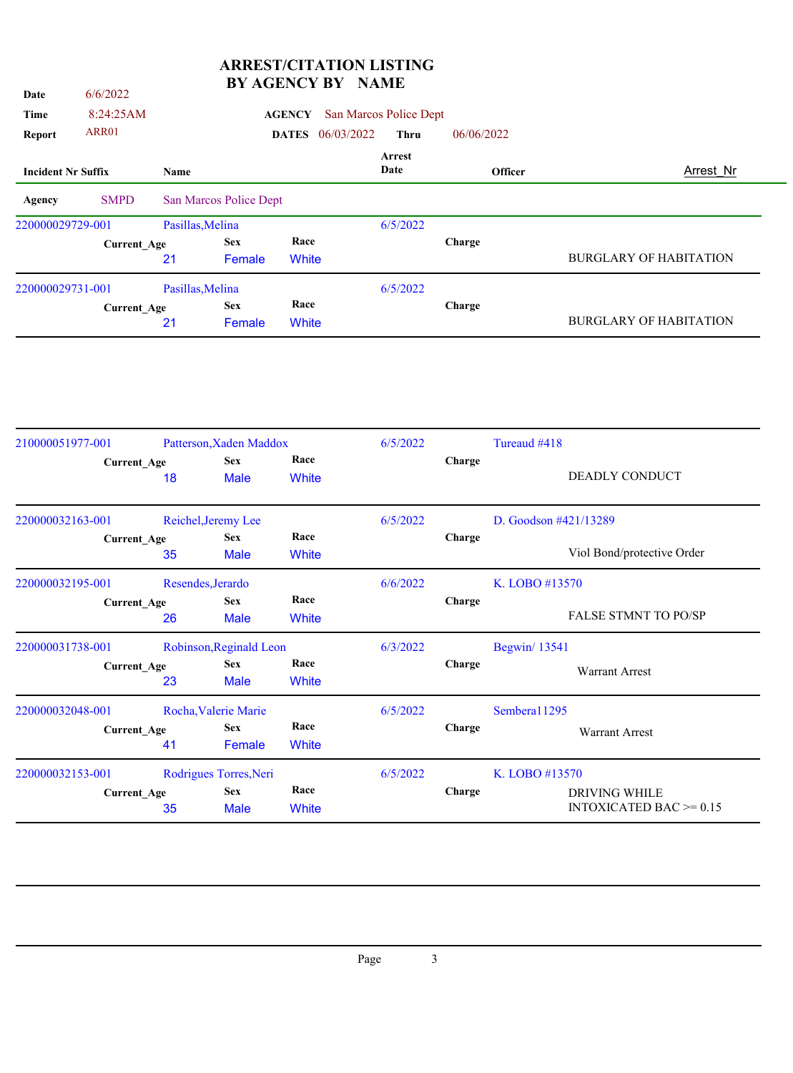| Date                      | 6/6/2022           |                  | рі дорічет рі          |               |            | 11111111               |                |                               |
|---------------------------|--------------------|------------------|------------------------|---------------|------------|------------------------|----------------|-------------------------------|
| Time                      | 8:24:25AM          |                  |                        | <b>AGENCY</b> |            | San Marcos Police Dept |                |                               |
| Report                    | ARR01              |                  |                        | <b>DATES</b>  | 06/03/2022 | <b>Thru</b>            | 06/06/2022     |                               |
| <b>Incident Nr Suffix</b> |                    | Name             |                        |               |            | Arrest<br>Date         | <b>Officer</b> | Arrest Nr                     |
| Agency                    | <b>SMPD</b>        |                  | San Marcos Police Dept |               |            |                        |                |                               |
| 220000029729-001          |                    | Pasillas, Melina |                        |               |            | 6/5/2022               |                |                               |
|                           | <b>Current_Age</b> |                  | <b>Sex</b>             | Race          |            |                        | Charge         |                               |
|                           |                    | 21               | Female                 | White         |            |                        |                | <b>BURGLARY OF HABITATION</b> |
| 220000029731-001          |                    | Pasillas, Melina |                        |               |            | 6/5/2022               |                |                               |
|                           | <b>Current Age</b> |                  | <b>Sex</b>             | Race          |            |                        | Charge         |                               |
|                           |                    | 21               | Female                 | White         |            |                        |                | <b>BURGLARY OF HABITATION</b> |
|                           |                    |                  |                        |               |            |                        |                |                               |

| 210000051977-001 |                    |                                                                        | Patterson, Xaden Maddox   |                      | 6/5/2022             |                | Tureaud #418                                          |  |
|------------------|--------------------|------------------------------------------------------------------------|---------------------------|----------------------|----------------------|----------------|-------------------------------------------------------|--|
|                  | <b>Current_Age</b> | 18                                                                     | <b>Sex</b><br><b>Male</b> | Race<br>White        |                      | Charge         | <b>DEADLY CONDUCT</b>                                 |  |
| 220000032163-001 |                    | Reichel, Jeremy Lee                                                    |                           |                      | 6/5/2022             |                | D. Goodson #421/13289                                 |  |
|                  | <b>Current_Age</b> | 35                                                                     | <b>Sex</b><br><b>Male</b> | Race<br>White        |                      | Charge         | Viol Bond/protective Order                            |  |
| 220000032195-001 |                    |                                                                        | Resendes, Jerardo         |                      |                      | 6/6/2022       | K. LOBO #13570                                        |  |
|                  |                    | Race<br><b>Sex</b><br><b>Current_Age</b><br>26<br><b>Male</b><br>White |                           | Charge               | FALSE STMNT TO PO/SP |                |                                                       |  |
| 220000031738-001 |                    |                                                                        | Robinson, Reginald Leon   |                      | 6/3/2022             |                | <b>Begwin</b> / 13541                                 |  |
|                  | <b>Current_Age</b> | 23                                                                     | <b>Sex</b><br><b>Male</b> | Race<br>White        |                      | Charge         | <b>Warrant Arrest</b>                                 |  |
| 220000032048-001 |                    |                                                                        | Rocha, Valerie Marie      |                      | 6/5/2022             |                | Semberal 1295                                         |  |
|                  | <b>Current_Age</b> | 41                                                                     | <b>Sex</b><br>Female      | Race<br><b>White</b> |                      | Charge         | <b>Warrant Arrest</b>                                 |  |
| 220000032153-001 |                    | Rodrigues Torres, Neri                                                 |                           | 6/5/2022             |                      | K. LOBO #13570 |                                                       |  |
|                  | <b>Current_Age</b> | 35                                                                     | <b>Sex</b><br><b>Male</b> | Race<br>White        |                      | Charge         | <b>DRIVING WHILE</b><br>INTOXICATED BAC $\geq$ = 0.15 |  |